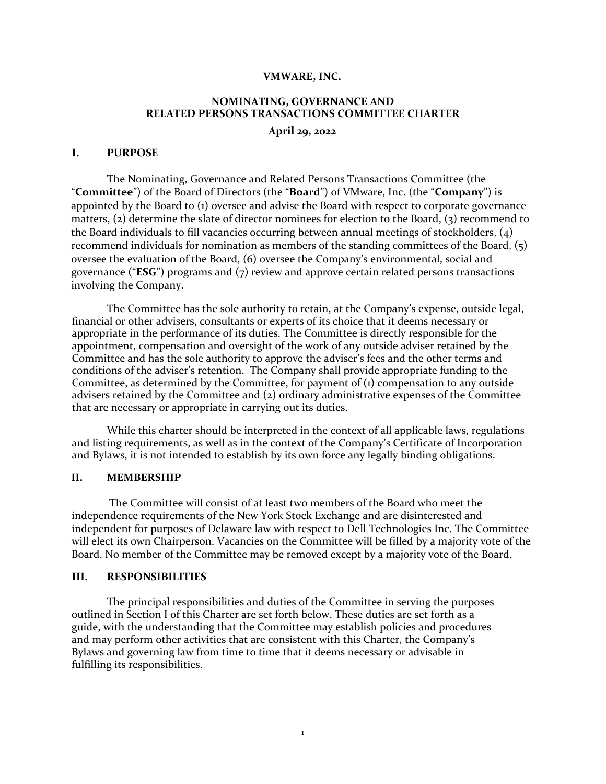#### **VMWARE, INC.**

# **NOMINATING, GOVERNANCE AND RELATED PERSONS TRANSACTIONS COMMITTEE CHARTER**

**April 29, 2022**

#### **I. PURPOSE**

The Nominating, Governance and Related Persons Transactions Committee (the "**Committee**") of the Board of Directors (the "**Board**") of VMware, Inc. (the "**Company**") is appointed by the Board to (1) oversee and advise the Board with respect to corporate governance matters, (2) determine the slate of director nominees for election to the Board, (3) recommend to the Board individuals to fill vacancies occurring between annual meetings of stockholders, (4) recommend individuals for nomination as members of the standing committees of the Board, (5) oversee the evaluation of the Board, (6) oversee the Company's environmental, social and governance ("**ESG**") programs and (7) review and approve certain related persons transactions involving the Company.

The Committee has the sole authority to retain, at the Company's expense, outside legal, financial or other advisers, consultants or experts of its choice that it deems necessary or appropriate in the performance of its duties. The Committee is directly responsible for the appointment, compensation and oversight of the work of any outside adviser retained by the Committee and has the sole authority to approve the adviser's fees and the other terms and conditions of the adviser's retention. The Company shall provide appropriate funding to the Committee, as determined by the Committee, for payment of (1) compensation to any outside advisers retained by the Committee and (2) ordinary administrative expenses of the Committee that are necessary or appropriate in carrying out its duties.

While this charter should be interpreted in the context of all applicable laws, regulations and listing requirements, as well as in the context of the Company's Certificate of Incorporation and Bylaws, it is not intended to establish by its own force any legally binding obligations.

#### **II. MEMBERSHIP**

The Committee will consist of at least two members of the Board who meet the independence requirements of the New York Stock Exchange and are disinterested and independent for purposes of Delaware law with respect to Dell Technologies Inc. The Committee will elect its own Chairperson. Vacancies on the Committee will be filled by a majority vote of the Board. No member of the Committee may be removed except by a majority vote of the Board.

#### **III. RESPONSIBILITIES**

The principal responsibilities and duties of the Committee in serving the purposes outlined in Section I of this Charter are set forth below. These duties are set forth as a guide, with the understanding that the Committee may establish policies and procedures and may perform other activities that are consistent with this Charter, the Company's Bylaws and governing law from time to time that it deems necessary or advisable in fulfilling its responsibilities.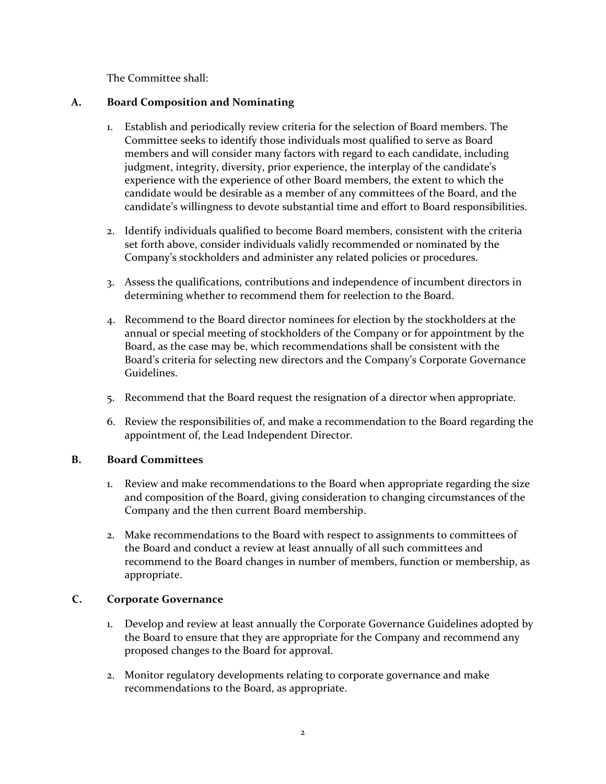The Committee shall:

## **A. Board Composition and Nominating**

- 1. Establish and periodically review criteria for the selection of Board members. The Committee seeks to identify those individuals most qualified to serve as Board members and will consider many factors with regard to each candidate, including judgment, integrity, diversity, prior experience, the interplay of the candidate's experience with the experience of other Board members, the extent to which the candidate would be desirable as a member of any committees of the Board, and the candidate's willingness to devote substantial time and effort to Board responsibilities.
- 2. Identify individuals qualified to become Board members, consistent with the criteria set forth above, consider individuals validly recommended or nominated by the Company's stockholders and administer any related policies or procedures.
- 3. Assess the qualifications, contributions and independence of incumbent directors in determining whether to recommend them for reelection to the Board.
- 4. Recommend to the Board director nominees for election by the stockholders at the annual or special meeting of stockholders of the Company or for appointment by the Board, as the case may be, which recommendations shall be consistent with the Board's criteria for selecting new directors and the Company's Corporate Governance Guidelines.
- 5. Recommend that the Board request the resignation of a director when appropriate.
- 6. Review the responsibilities of, and make a recommendation to the Board regarding the appointment of, the Lead Independent Director.

### **B. Board Committees**

- 1. Review and make recommendations to the Board when appropriate regarding the size and composition of the Board, giving consideration to changing circumstances of the Company and the then current Board membership.
- 2. Make recommendations to the Board with respect to assignments to committees of the Board and conduct a review at least annually of all such committees and recommend to the Board changes in number of members, function or membership, as appropriate.

# **C. Corporate Governance**

- 1. Develop and review at least annually the Corporate Governance Guidelines adopted by the Board to ensure that they are appropriate for the Company and recommend any proposed changes to the Board for approval.
- 2. Monitor regulatory developments relating to corporate governance and make recommendations to the Board, as appropriate.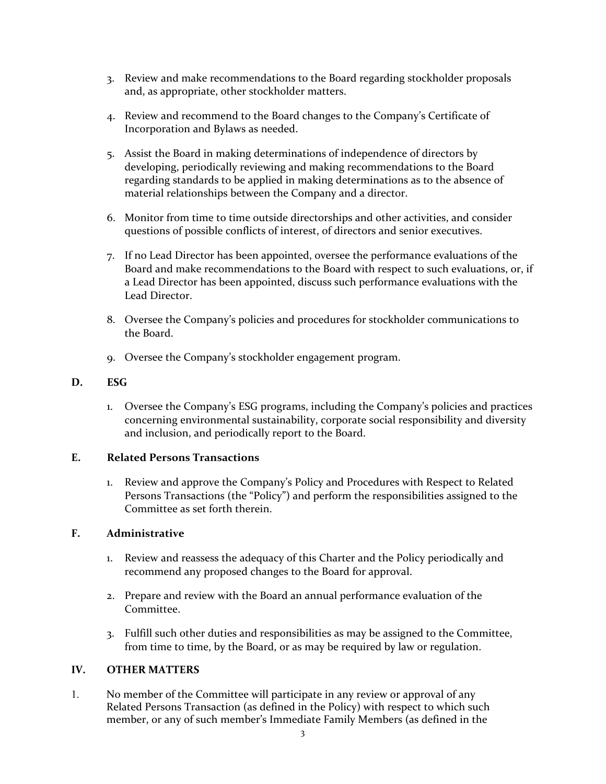- 3. Review and make recommendations to the Board regarding stockholder proposals and, as appropriate, other stockholder matters.
- 4. Review and recommend to the Board changes to the Company's Certificate of Incorporation and Bylaws as needed.
- 5. Assist the Board in making determinations of independence of directors by developing, periodically reviewing and making recommendations to the Board regarding standards to be applied in making determinations as to the absence of material relationships between the Company and a director.
- 6. Monitor from time to time outside directorships and other activities, and consider questions of possible conflicts of interest, of directors and senior executives.
- 7. If no Lead Director has been appointed, oversee the performance evaluations of the Board and make recommendations to the Board with respect to such evaluations, or, if a Lead Director has been appointed, discuss such performance evaluations with the Lead Director.
- 8. Oversee the Company's policies and procedures for stockholder communications to the Board.
- 9. Oversee the Company's stockholder engagement program.

### **D. ESG**

1. Oversee the Company's ESG programs, including the Company's policies and practices concerning environmental sustainability, corporate social responsibility and diversity and inclusion, and periodically report to the Board.

### **E. Related Persons Transactions**

1. Review and approve the Company's Policy and Procedures with Respect to Related Persons Transactions (the "Policy") and perform the responsibilities assigned to the Committee as set forth therein.

### **F. Administrative**

- 1. Review and reassess the adequacy of this Charter and the Policy periodically and recommend any proposed changes to the Board for approval.
- 2. Prepare and review with the Board an annual performance evaluation of the Committee.
- 3. Fulfill such other duties and responsibilities as may be assigned to the Committee, from time to time, by the Board, or as may be required by law or regulation.

### **IV. OTHER MATTERS**

1. No member of the Committee will participate in any review or approval of any Related Persons Transaction (as defined in the Policy) with respect to which such member, or any of such member's Immediate Family Members (as defined in the